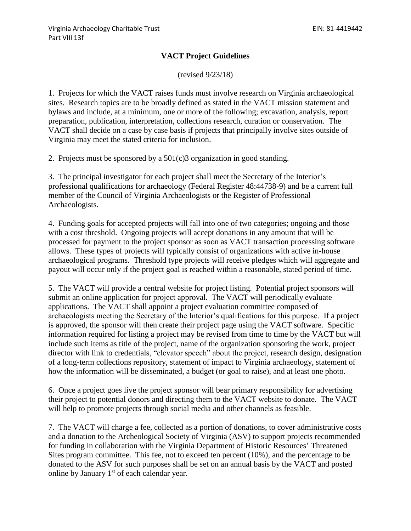## **VACT Project Guidelines**

(revised 9/23/18)

1. Projects for which the VACT raises funds must involve research on Virginia archaeological sites. Research topics are to be broadly defined as stated in the VACT mission statement and bylaws and include, at a minimum, one or more of the following; excavation, analysis, report preparation, publication, interpretation, collections research, curation or conservation. The VACT shall decide on a case by case basis if projects that principally involve sites outside of Virginia may meet the stated criteria for inclusion.

2. Projects must be sponsored by a 501(c)3 organization in good standing.

3. The principal investigator for each project shall meet the Secretary of the Interior's professional qualifications for archaeology (Federal Register 48:44738-9) and be a current full member of the Council of Virginia Archaeologists or the Register of Professional Archaeologists.

4. Funding goals for accepted projects will fall into one of two categories; ongoing and those with a cost threshold. Ongoing projects will accept donations in any amount that will be processed for payment to the project sponsor as soon as VACT transaction processing software allows. These types of projects will typically consist of organizations with active in-house archaeological programs. Threshold type projects will receive pledges which will aggregate and payout will occur only if the project goal is reached within a reasonable, stated period of time.

5. The VACT will provide a central website for project listing. Potential project sponsors will submit an online application for project approval. The VACT will periodically evaluate applications. The VACT shall appoint a project evaluation committee composed of archaeologists meeting the Secretary of the Interior's qualifications for this purpose. If a project is approved, the sponsor will then create their project page using the VACT software. Specific information required for listing a project may be revised from time to time by the VACT but will include such items as title of the project, name of the organization sponsoring the work, project director with link to credentials, "elevator speech" about the project, research design, designation of a long-term collections repository, statement of impact to Virginia archaeology, statement of how the information will be disseminated, a budget (or goal to raise), and at least one photo.

6. Once a project goes live the project sponsor will bear primary responsibility for advertising their project to potential donors and directing them to the VACT website to donate. The VACT will help to promote projects through social media and other channels as feasible.

7. The VACT will charge a fee, collected as a portion of donations, to cover administrative costs and a donation to the Archeological Society of Virginia (ASV) to support projects recommended for funding in collaboration with the Virginia Department of Historic Resources' Threatened Sites program committee. This fee, not to exceed ten percent (10%), and the percentage to be donated to the ASV for such purposes shall be set on an annual basis by the VACT and posted online by January  $1<sup>st</sup>$  of each calendar year.